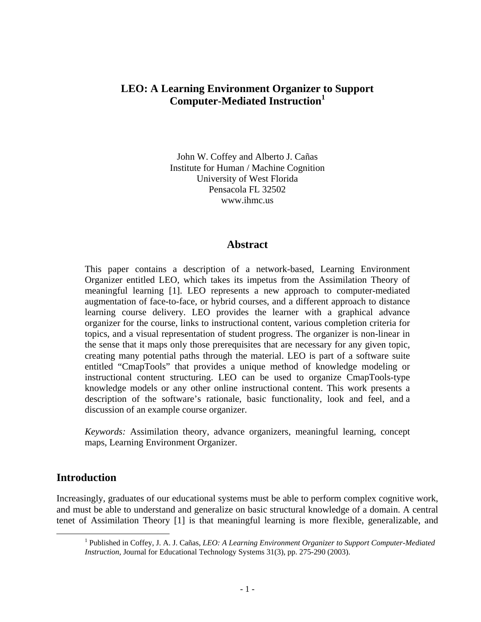# **LEO: A Learning Environment Organizer to Support Computer-Mediated Instruction<sup>1</sup>**

John W. Coffey and Alberto J. Cañas Institute for Human / Machine Cognition University of West Florida Pensacola FL 32502 www.ihmc.us

#### **Abstract**

This paper contains a description of a network-based, Learning Environment Organizer entitled LEO, which takes its impetus from the Assimilation Theory of meaningful learning [1]. LEO represents a new approach to computer-mediated augmentation of face-to-face, or hybrid courses, and a different approach to distance learning course delivery. LEO provides the learner with a graphical advance organizer for the course, links to instructional content, various completion criteria for topics, and a visual representation of student progress. The organizer is non-linear in the sense that it maps only those prerequisites that are necessary for any given topic, creating many potential paths through the material. LEO is part of a software suite entitled "CmapTools" that provides a unique method of knowledge modeling or instructional content structuring. LEO can be used to organize CmapTools-type knowledge models or any other online instructional content. This work presents a description of the software's rationale, basic functionality, look and feel, and a discussion of an example course organizer.

*Keywords:* Assimilation theory, advance organizers, meaningful learning, concept maps, Learning Environment Organizer.

## **Introduction**

Increasingly, graduates of our educational systems must be able to perform complex cognitive work, and must be able to understand and generalize on basic structural knowledge of a domain. A central tenet of Assimilation Theory [1] is that meaningful learning is more flexible, generalizable, and

 $\frac{1}{1}$  Published in Coffey, J. A. J. Cañas, *LEO: A Learning Environment Organizer to Support Computer-Mediated Instruction*, Journal for Educational Technology Systems 31(3), pp. 275-290 (2003).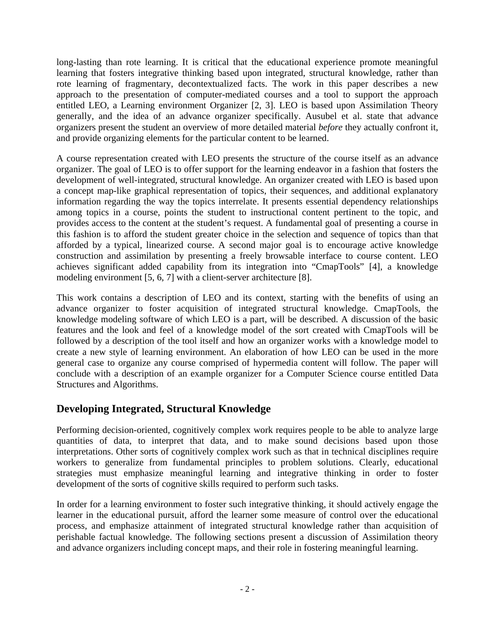long-lasting than rote learning. It is critical that the educational experience promote meaningful learning that fosters integrative thinking based upon integrated, structural knowledge, rather than rote learning of fragmentary, decontextualized facts. The work in this paper describes a new approach to the presentation of computer-mediated courses and a tool to support the approach entitled LEO, a Learning environment Organizer [2, 3]. LEO is based upon Assimilation Theory generally, and the idea of an advance organizer specifically. Ausubel et al. state that advance organizers present the student an overview of more detailed material *before* they actually confront it, and provide organizing elements for the particular content to be learned.

A course representation created with LEO presents the structure of the course itself as an advance organizer. The goal of LEO is to offer support for the learning endeavor in a fashion that fosters the development of well-integrated, structural knowledge. An organizer created with LEO is based upon a concept map-like graphical representation of topics, their sequences, and additional explanatory information regarding the way the topics interrelate. It presents essential dependency relationships among topics in a course, points the student to instructional content pertinent to the topic, and provides access to the content at the student's request. A fundamental goal of presenting a course in this fashion is to afford the student greater choice in the selection and sequence of topics than that afforded by a typical, linearized course. A second major goal is to encourage active knowledge construction and assimilation by presenting a freely browsable interface to course content. LEO achieves significant added capability from its integration into "CmapTools" [4], a knowledge modeling environment [5, 6, 7] with a client-server architecture [8].

This work contains a description of LEO and its context, starting with the benefits of using an advance organizer to foster acquisition of integrated structural knowledge. CmapTools, the knowledge modeling software of which LEO is a part, will be described. A discussion of the basic features and the look and feel of a knowledge model of the sort created with CmapTools will be followed by a description of the tool itself and how an organizer works with a knowledge model to create a new style of learning environment. An elaboration of how LEO can be used in the more general case to organize any course comprised of hypermedia content will follow. The paper will conclude with a description of an example organizer for a Computer Science course entitled Data Structures and Algorithms.

# **Developing Integrated, Structural Knowledge**

Performing decision-oriented, cognitively complex work requires people to be able to analyze large quantities of data, to interpret that data, and to make sound decisions based upon those interpretations. Other sorts of cognitively complex work such as that in technical disciplines require workers to generalize from fundamental principles to problem solutions. Clearly, educational strategies must emphasize meaningful learning and integrative thinking in order to foster development of the sorts of cognitive skills required to perform such tasks.

In order for a learning environment to foster such integrative thinking, it should actively engage the learner in the educational pursuit, afford the learner some measure of control over the educational process, and emphasize attainment of integrated structural knowledge rather than acquisition of perishable factual knowledge. The following sections present a discussion of Assimilation theory and advance organizers including concept maps, and their role in fostering meaningful learning.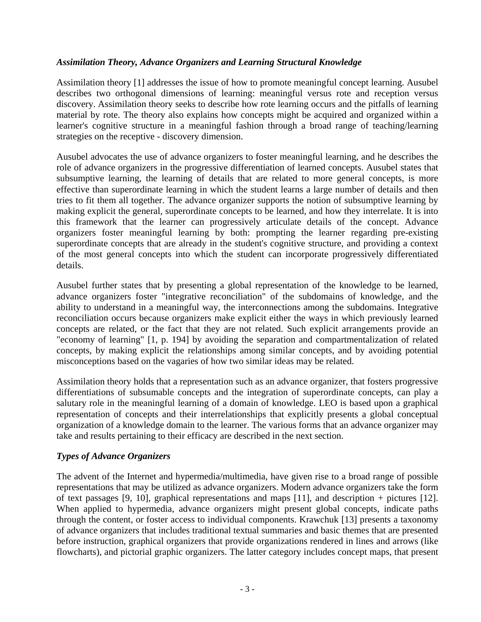#### *Assimilation Theory, Advance Organizers and Learning Structural Knowledge*

Assimilation theory [1] addresses the issue of how to promote meaningful concept learning. Ausubel describes two orthogonal dimensions of learning: meaningful versus rote and reception versus discovery. Assimilation theory seeks to describe how rote learning occurs and the pitfalls of learning material by rote. The theory also explains how concepts might be acquired and organized within a learner's cognitive structure in a meaningful fashion through a broad range of teaching/learning strategies on the receptive - discovery dimension.

Ausubel advocates the use of advance organizers to foster meaningful learning, and he describes the role of advance organizers in the progressive differentiation of learned concepts. Ausubel states that subsumptive learning, the learning of details that are related to more general concepts, is more effective than superordinate learning in which the student learns a large number of details and then tries to fit them all together. The advance organizer supports the notion of subsumptive learning by making explicit the general, superordinate concepts to be learned, and how they interrelate. It is into this framework that the learner can progressively articulate details of the concept. Advance organizers foster meaningful learning by both: prompting the learner regarding pre-existing superordinate concepts that are already in the student's cognitive structure, and providing a context of the most general concepts into which the student can incorporate progressively differentiated details.

Ausubel further states that by presenting a global representation of the knowledge to be learned, advance organizers foster "integrative reconciliation" of the subdomains of knowledge, and the ability to understand in a meaningful way, the interconnections among the subdomains. Integrative reconciliation occurs because organizers make explicit either the ways in which previously learned concepts are related, or the fact that they are not related. Such explicit arrangements provide an "economy of learning" [1, p. 194] by avoiding the separation and compartmentalization of related concepts, by making explicit the relationships among similar concepts, and by avoiding potential misconceptions based on the vagaries of how two similar ideas may be related.

Assimilation theory holds that a representation such as an advance organizer, that fosters progressive differentiations of subsumable concepts and the integration of superordinate concepts, can play a salutary role in the meaningful learning of a domain of knowledge. LEO is based upon a graphical representation of concepts and their interrelationships that explicitly presents a global conceptual organization of a knowledge domain to the learner. The various forms that an advance organizer may take and results pertaining to their efficacy are described in the next section.

### *Types of Advance Organizers*

The advent of the Internet and hypermedia/multimedia, have given rise to a broad range of possible representations that may be utilized as advance organizers. Modern advance organizers take the form of text passages [9, 10], graphical representations and maps [11], and description + pictures [12]. When applied to hypermedia, advance organizers might present global concepts, indicate paths through the content, or foster access to individual components. Krawchuk [13] presents a taxonomy of advance organizers that includes traditional textual summaries and basic themes that are presented before instruction, graphical organizers that provide organizations rendered in lines and arrows (like flowcharts), and pictorial graphic organizers. The latter category includes concept maps, that present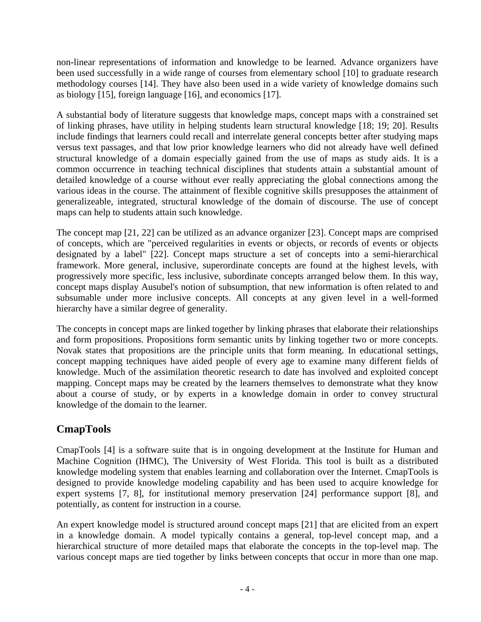non-linear representations of information and knowledge to be learned. Advance organizers have been used successfully in a wide range of courses from elementary school [10] to graduate research methodology courses [14]. They have also been used in a wide variety of knowledge domains such as biology [15], foreign language [16], and economics [17].

A substantial body of literature suggests that knowledge maps, concept maps with a constrained set of linking phrases, have utility in helping students learn structural knowledge [18; 19; 20]. Results include findings that learners could recall and interrelate general concepts better after studying maps versus text passages, and that low prior knowledge learners who did not already have well defined structural knowledge of a domain especially gained from the use of maps as study aids. It is a common occurrence in teaching technical disciplines that students attain a substantial amount of detailed knowledge of a course without ever really appreciating the global connections among the various ideas in the course. The attainment of flexible cognitive skills presupposes the attainment of generalizeable, integrated, structural knowledge of the domain of discourse. The use of concept maps can help to students attain such knowledge.

The concept map [21, 22] can be utilized as an advance organizer [23]. Concept maps are comprised of concepts, which are "perceived regularities in events or objects, or records of events or objects designated by a label" [22]. Concept maps structure a set of concepts into a semi-hierarchical framework. More general, inclusive, superordinate concepts are found at the highest levels, with progressively more specific, less inclusive, subordinate concepts arranged below them. In this way, concept maps display Ausubel's notion of subsumption, that new information is often related to and subsumable under more inclusive concepts. All concepts at any given level in a well-formed hierarchy have a similar degree of generality.

The concepts in concept maps are linked together by linking phrases that elaborate their relationships and form propositions. Propositions form semantic units by linking together two or more concepts. Novak states that propositions are the principle units that form meaning. In educational settings, concept mapping techniques have aided people of every age to examine many different fields of knowledge. Much of the assimilation theoretic research to date has involved and exploited concept mapping. Concept maps may be created by the learners themselves to demonstrate what they know about a course of study, or by experts in a knowledge domain in order to convey structural knowledge of the domain to the learner.

# **CmapTools**

CmapTools [4] is a software suite that is in ongoing development at the Institute for Human and Machine Cognition (IHMC), The University of West Florida. This tool is built as a distributed knowledge modeling system that enables learning and collaboration over the Internet. CmapTools is designed to provide knowledge modeling capability and has been used to acquire knowledge for expert systems [7, 8], for institutional memory preservation [24] performance support [8], and potentially, as content for instruction in a course.

An expert knowledge model is structured around concept maps [21] that are elicited from an expert in a knowledge domain. A model typically contains a general, top-level concept map, and a hierarchical structure of more detailed maps that elaborate the concepts in the top-level map. The various concept maps are tied together by links between concepts that occur in more than one map.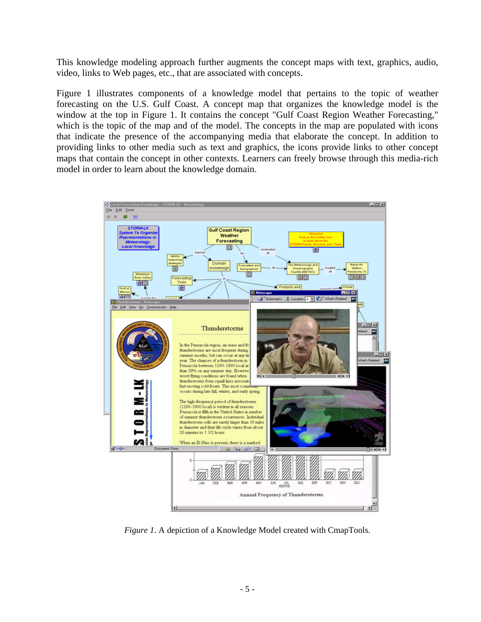This knowledge modeling approach further augments the concept maps with text, graphics, audio, video, links to Web pages, etc., that are associated with concepts.

Figure 1 illustrates components of a knowledge model that pertains to the topic of weather forecasting on the U.S. Gulf Coast. A concept map that organizes the knowledge model is the window at the top in Figure 1. It contains the concept "Gulf Coast Region Weather Forecasting," which is the topic of the map and of the model. The concepts in the map are populated with icons that indicate the presence of the accompanying media that elaborate the concept. In addition to providing links to other media such as text and graphics, the icons provide links to other concept maps that contain the concept in other contexts. Learners can freely browse through this media-rich model in order to learn about the knowledge domain.



*Figure 1*. A depiction of a Knowledge Model created with CmapTools.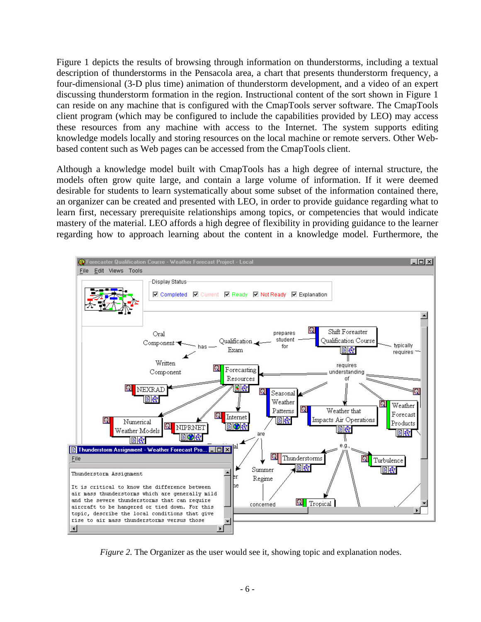Figure 1 depicts the results of browsing through information on thunderstorms, including a textual description of thunderstorms in the Pensacola area, a chart that presents thunderstorm frequency, a four-dimensional (3-D plus time) animation of thunderstorm development, and a video of an expert discussing thunderstorm formation in the region. Instructional content of the sort shown in Figure 1 can reside on any machine that is configured with the CmapTools server software. The CmapTools client program (which may be configured to include the capabilities provided by LEO) may access these resources from any machine with access to the Internet. The system supports editing knowledge models locally and storing resources on the local machine or remote servers. Other Webbased content such as Web pages can be accessed from the CmapTools client.

Although a knowledge model built with CmapTools has a high degree of internal structure, the models often grow quite large, and contain a large volume of information. If it were deemed desirable for students to learn systematically about some subset of the information contained there, an organizer can be created and presented with LEO, in order to provide guidance regarding what to learn first, necessary prerequisite relationships among topics, or competencies that would indicate mastery of the material. LEO affords a high degree of flexibility in providing guidance to the learner regarding how to approach learning about the content in a knowledge model. Furthermore, the



*Figure 2.* The Organizer as the user would see it, showing topic and explanation nodes.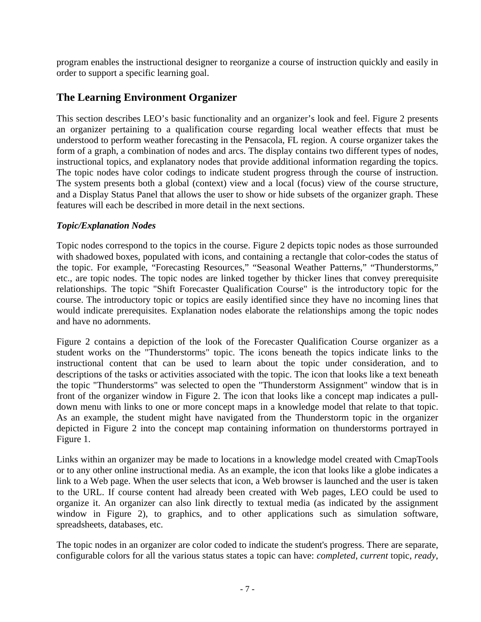program enables the instructional designer to reorganize a course of instruction quickly and easily in order to support a specific learning goal.

# **The Learning Environment Organizer**

This section describes LEO's basic functionality and an organizer's look and feel. Figure 2 presents an organizer pertaining to a qualification course regarding local weather effects that must be understood to perform weather forecasting in the Pensacola, FL region. A course organizer takes the form of a graph, a combination of nodes and arcs. The display contains two different types of nodes, instructional topics, and explanatory nodes that provide additional information regarding the topics. The topic nodes have color codings to indicate student progress through the course of instruction. The system presents both a global (context) view and a local (focus) view of the course structure, and a Display Status Panel that allows the user to show or hide subsets of the organizer graph. These features will each be described in more detail in the next sections.

#### *Topic/Explanation Nodes*

Topic nodes correspond to the topics in the course. Figure 2 depicts topic nodes as those surrounded with shadowed boxes, populated with icons, and containing a rectangle that color-codes the status of the topic. For example, "Forecasting Resources," "Seasonal Weather Patterns," "Thunderstorms," etc., are topic nodes. The topic nodes are linked together by thicker lines that convey prerequisite relationships. The topic "Shift Forecaster Qualification Course" is the introductory topic for the course. The introductory topic or topics are easily identified since they have no incoming lines that would indicate prerequisites. Explanation nodes elaborate the relationships among the topic nodes and have no adornments.

Figure 2 contains a depiction of the look of the Forecaster Qualification Course organizer as a student works on the "Thunderstorms" topic. The icons beneath the topics indicate links to the instructional content that can be used to learn about the topic under consideration, and to descriptions of the tasks or activities associated with the topic. The icon that looks like a text beneath the topic "Thunderstorms" was selected to open the "Thunderstorm Assignment" window that is in front of the organizer window in Figure 2. The icon that looks like a concept map indicates a pulldown menu with links to one or more concept maps in a knowledge model that relate to that topic. As an example, the student might have navigated from the Thunderstorm topic in the organizer depicted in Figure 2 into the concept map containing information on thunderstorms portrayed in Figure 1.

Links within an organizer may be made to locations in a knowledge model created with CmapTools or to any other online instructional media. As an example, the icon that looks like a globe indicates a link to a Web page. When the user selects that icon, a Web browser is launched and the user is taken to the URL. If course content had already been created with Web pages, LEO could be used to organize it. An organizer can also link directly to textual media (as indicated by the assignment window in Figure 2), to graphics, and to other applications such as simulation software, spreadsheets, databases, etc.

The topic nodes in an organizer are color coded to indicate the student's progress. There are separate, configurable colors for all the various status states a topic can have: *completed*, *current* topic, *ready*,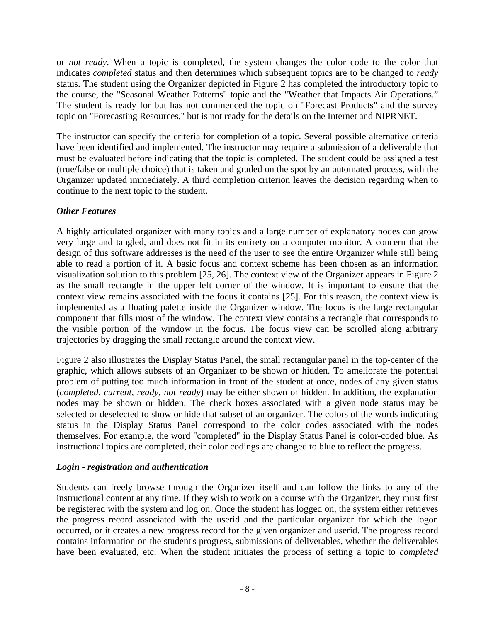or *not ready*. When a topic is completed, the system changes the color code to the color that indicates *completed* status and then determines which subsequent topics are to be changed to *ready* status. The student using the Organizer depicted in Figure 2 has completed the introductory topic to the course, the "Seasonal Weather Patterns" topic and the "Weather that Impacts Air Operations." The student is ready for but has not commenced the topic on "Forecast Products" and the survey topic on "Forecasting Resources," but is not ready for the details on the Internet and NIPRNET.

The instructor can specify the criteria for completion of a topic. Several possible alternative criteria have been identified and implemented. The instructor may require a submission of a deliverable that must be evaluated before indicating that the topic is completed. The student could be assigned a test (true/false or multiple choice) that is taken and graded on the spot by an automated process, with the Organizer updated immediately. A third completion criterion leaves the decision regarding when to continue to the next topic to the student.

### *Other Features*

A highly articulated organizer with many topics and a large number of explanatory nodes can grow very large and tangled, and does not fit in its entirety on a computer monitor. A concern that the design of this software addresses is the need of the user to see the entire Organizer while still being able to read a portion of it. A basic focus and context scheme has been chosen as an information visualization solution to this problem [25, 26]. The context view of the Organizer appears in Figure 2 as the small rectangle in the upper left corner of the window. It is important to ensure that the context view remains associated with the focus it contains [25]. For this reason, the context view is implemented as a floating palette inside the Organizer window. The focus is the large rectangular component that fills most of the window. The context view contains a rectangle that corresponds to the visible portion of the window in the focus. The focus view can be scrolled along arbitrary trajectories by dragging the small rectangle around the context view.

Figure 2 also illustrates the Display Status Panel, the small rectangular panel in the top-center of the graphic, which allows subsets of an Organizer to be shown or hidden. To ameliorate the potential problem of putting too much information in front of the student at once, nodes of any given status (*completed, current, ready, not ready*) may be either shown or hidden. In addition, the explanation nodes may be shown or hidden. The check boxes associated with a given node status may be selected or deselected to show or hide that subset of an organizer. The colors of the words indicating status in the Display Status Panel correspond to the color codes associated with the nodes themselves. For example, the word "completed" in the Display Status Panel is color-coded blue. As instructional topics are completed, their color codings are changed to blue to reflect the progress.

### *Login - registration and authentication*

Students can freely browse through the Organizer itself and can follow the links to any of the instructional content at any time. If they wish to work on a course with the Organizer, they must first be registered with the system and log on. Once the student has logged on, the system either retrieves the progress record associated with the userid and the particular organizer for which the logon occurred, or it creates a new progress record for the given organizer and userid. The progress record contains information on the student's progress, submissions of deliverables, whether the deliverables have been evaluated, etc. When the student initiates the process of setting a topic to *completed*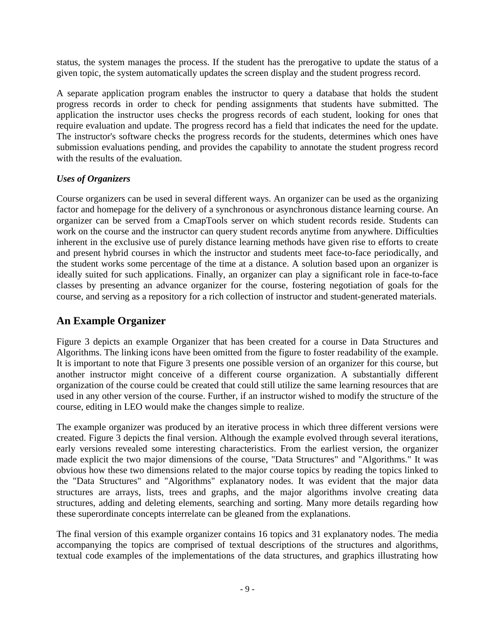status, the system manages the process. If the student has the prerogative to update the status of a given topic, the system automatically updates the screen display and the student progress record.

A separate application program enables the instructor to query a database that holds the student progress records in order to check for pending assignments that students have submitted. The application the instructor uses checks the progress records of each student, looking for ones that require evaluation and update. The progress record has a field that indicates the need for the update. The instructor's software checks the progress records for the students, determines which ones have submission evaluations pending, and provides the capability to annotate the student progress record with the results of the evaluation.

### *Uses of Organizers*

Course organizers can be used in several different ways. An organizer can be used as the organizing factor and homepage for the delivery of a synchronous or asynchronous distance learning course. An organizer can be served from a CmapTools server on which student records reside. Students can work on the course and the instructor can query student records anytime from anywhere. Difficulties inherent in the exclusive use of purely distance learning methods have given rise to efforts to create and present hybrid courses in which the instructor and students meet face-to-face periodically, and the student works some percentage of the time at a distance. A solution based upon an organizer is ideally suited for such applications. Finally, an organizer can play a significant role in face-to-face classes by presenting an advance organizer for the course, fostering negotiation of goals for the course, and serving as a repository for a rich collection of instructor and student-generated materials.

# **An Example Organizer**

Figure 3 depicts an example Organizer that has been created for a course in Data Structures and Algorithms. The linking icons have been omitted from the figure to foster readability of the example. It is important to note that Figure 3 presents one possible version of an organizer for this course, but another instructor might conceive of a different course organization. A substantially different organization of the course could be created that could still utilize the same learning resources that are used in any other version of the course. Further, if an instructor wished to modify the structure of the course, editing in LEO would make the changes simple to realize.

The example organizer was produced by an iterative process in which three different versions were created. Figure 3 depicts the final version. Although the example evolved through several iterations, early versions revealed some interesting characteristics. From the earliest version, the organizer made explicit the two major dimensions of the course, "Data Structures" and "Algorithms." It was obvious how these two dimensions related to the major course topics by reading the topics linked to the "Data Structures" and "Algorithms" explanatory nodes. It was evident that the major data structures are arrays, lists, trees and graphs, and the major algorithms involve creating data structures, adding and deleting elements, searching and sorting. Many more details regarding how these superordinate concepts interrelate can be gleaned from the explanations.

The final version of this example organizer contains 16 topics and 31 explanatory nodes. The media accompanying the topics are comprised of textual descriptions of the structures and algorithms, textual code examples of the implementations of the data structures, and graphics illustrating how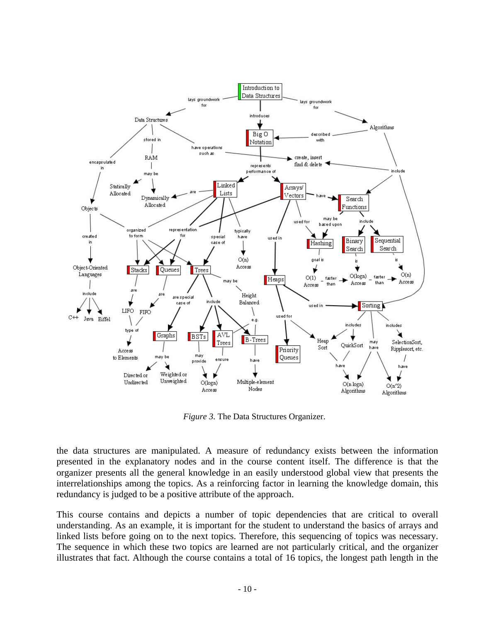

*Figure 3.* The Data Structures Organizer.

the data structures are manipulated. A measure of redundancy exists between the information presented in the explanatory nodes and in the course content itself. The difference is that the organizer presents all the general knowledge in an easily understood global view that presents the interrelationships among the topics. As a reinforcing factor in learning the knowledge domain, this redundancy is judged to be a positive attribute of the approach.

This course contains and depicts a number of topic dependencies that are critical to overall understanding. As an example, it is important for the student to understand the basics of arrays and linked lists before going on to the next topics. Therefore, this sequencing of topics was necessary. The sequence in which these two topics are learned are not particularly critical, and the organizer illustrates that fact. Although the course contains a total of 16 topics, the longest path length in the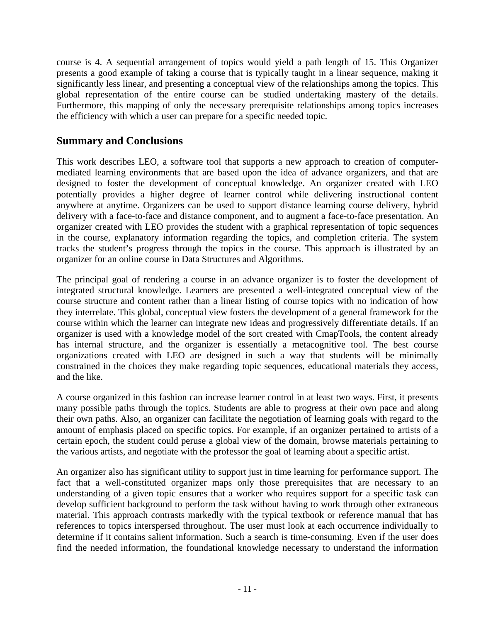course is 4. A sequential arrangement of topics would yield a path length of 15. This Organizer presents a good example of taking a course that is typically taught in a linear sequence, making it significantly less linear, and presenting a conceptual view of the relationships among the topics. This global representation of the entire course can be studied undertaking mastery of the details. Furthermore, this mapping of only the necessary prerequisite relationships among topics increases the efficiency with which a user can prepare for a specific needed topic.

## **Summary and Conclusions**

This work describes LEO, a software tool that supports a new approach to creation of computermediated learning environments that are based upon the idea of advance organizers, and that are designed to foster the development of conceptual knowledge. An organizer created with LEO potentially provides a higher degree of learner control while delivering instructional content anywhere at anytime. Organizers can be used to support distance learning course delivery, hybrid delivery with a face-to-face and distance component, and to augment a face-to-face presentation. An organizer created with LEO provides the student with a graphical representation of topic sequences in the course, explanatory information regarding the topics, and completion criteria. The system tracks the student's progress through the topics in the course. This approach is illustrated by an organizer for an online course in Data Structures and Algorithms.

The principal goal of rendering a course in an advance organizer is to foster the development of integrated structural knowledge. Learners are presented a well-integrated conceptual view of the course structure and content rather than a linear listing of course topics with no indication of how they interrelate. This global, conceptual view fosters the development of a general framework for the course within which the learner can integrate new ideas and progressively differentiate details. If an organizer is used with a knowledge model of the sort created with CmapTools, the content already has internal structure, and the organizer is essentially a metacognitive tool. The best course organizations created with LEO are designed in such a way that students will be minimally constrained in the choices they make regarding topic sequences, educational materials they access, and the like.

A course organized in this fashion can increase learner control in at least two ways. First, it presents many possible paths through the topics. Students are able to progress at their own pace and along their own paths. Also, an organizer can facilitate the negotiation of learning goals with regard to the amount of emphasis placed on specific topics. For example, if an organizer pertained to artists of a certain epoch, the student could peruse a global view of the domain, browse materials pertaining to the various artists, and negotiate with the professor the goal of learning about a specific artist.

An organizer also has significant utility to support just in time learning for performance support. The fact that a well-constituted organizer maps only those prerequisites that are necessary to an understanding of a given topic ensures that a worker who requires support for a specific task can develop sufficient background to perform the task without having to work through other extraneous material. This approach contrasts markedly with the typical textbook or reference manual that has references to topics interspersed throughout. The user must look at each occurrence individually to determine if it contains salient information. Such a search is time-consuming. Even if the user does find the needed information, the foundational knowledge necessary to understand the information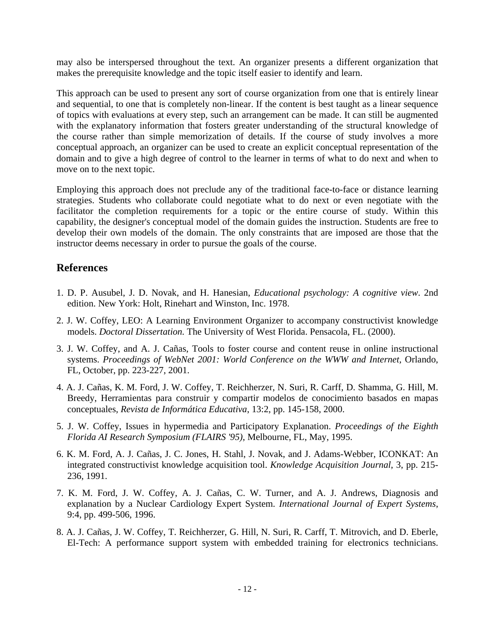may also be interspersed throughout the text. An organizer presents a different organization that makes the prerequisite knowledge and the topic itself easier to identify and learn.

This approach can be used to present any sort of course organization from one that is entirely linear and sequential, to one that is completely non-linear. If the content is best taught as a linear sequence of topics with evaluations at every step, such an arrangement can be made. It can still be augmented with the explanatory information that fosters greater understanding of the structural knowledge of the course rather than simple memorization of details. If the course of study involves a more conceptual approach, an organizer can be used to create an explicit conceptual representation of the domain and to give a high degree of control to the learner in terms of what to do next and when to move on to the next topic.

Employing this approach does not preclude any of the traditional face-to-face or distance learning strategies. Students who collaborate could negotiate what to do next or even negotiate with the facilitator the completion requirements for a topic or the entire course of study. Within this capability, the designer's conceptual model of the domain guides the instruction. Students are free to develop their own models of the domain. The only constraints that are imposed are those that the instructor deems necessary in order to pursue the goals of the course.

### **References**

- 1. D. P. Ausubel, J. D. Novak, and H. Hanesian, *Educational psychology: A cognitive view*. 2nd edition. New York: Holt, Rinehart and Winston, Inc. 1978.
- 2. J. W. Coffey, LEO: A Learning Environment Organizer to accompany constructivist knowledge models. *Doctoral Dissertation.* The University of West Florida. Pensacola, FL. (2000).
- 3. J. W. Coffey, and A. J. Cañas, Tools to foster course and content reuse in online instructional systems. *Proceedings of WebNet 2001: World Conference on the WWW and Internet,* Orlando, FL, October, pp. 223-227, 2001.
- 4. A. J. Cañas, K. M. Ford, J. W. Coffey, T. Reichherzer, N. Suri, R. Carff, D. Shamma, G. Hill, M. Breedy, Herramientas para construir y compartir modelos de conocimiento basados en mapas conceptuales, *Revista de Informática Educativa*, 13:2, pp. 145-158, 2000.
- 5. J. W. Coffey, Issues in hypermedia and Participatory Explanation. *Proceedings of the Eighth Florida AI Research Symposium (FLAIRS '95)*, Melbourne, FL, May, 1995.
- 6. K. M. Ford, A. J. Cañas, J. C. Jones, H. Stahl, J. Novak, and J. Adams-Webber, ICONKAT: An integrated constructivist knowledge acquisition tool. *Knowledge Acquisition Journal*, 3, pp. 215- 236, 1991.
- 7. K. M. Ford, J. W. Coffey, A. J. Cañas, C. W. Turner, and A. J. Andrews, Diagnosis and explanation by a Nuclear Cardiology Expert System. *International Journal of Expert Systems*, 9:4, pp. 499-506, 1996.
- 8. A. J. Cañas, J. W. Coffey, T. Reichherzer, G. Hill, N. Suri, R. Carff, T. Mitrovich, and D. Eberle, El-Tech: A performance support system with embedded training for electronics technicians.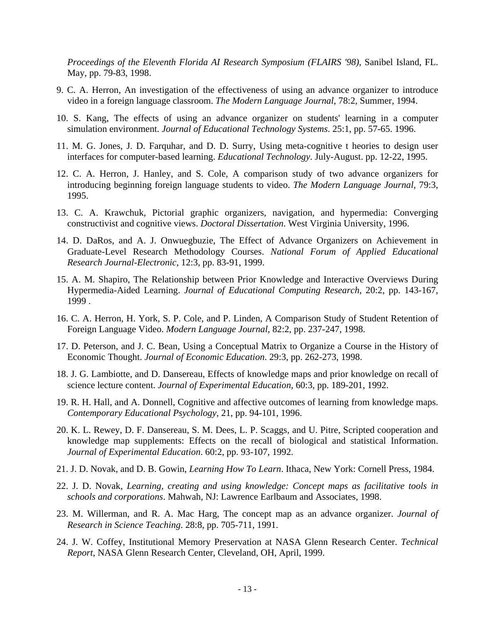*Proceedings of the Eleventh Florida AI Research Symposium (FLAIRS '98)*, Sanibel Island, FL. May, pp. 79-83, 1998.

- 9. C. A. Herron, An investigation of the effectiveness of using an advance organizer to introduce video in a foreign language classroom. *The Modern Language Journal*, 78:2, Summer, 1994.
- 10. S. Kang, The effects of using an advance organizer on students' learning in a computer simulation environment. *Journal of Educational Technology Systems*. 25:1, pp. 57-65. 1996.
- 11. M. G. Jones, J. D. Farquhar, and D. D. Surry, Using meta-cognitive t heories to design user interfaces for computer-based learning. *Educational Technology*. July-August. pp. 12-22, 1995.
- 12. C. A. Herron, J. Hanley, and S. Cole, A comparison study of two advance organizers for introducing beginning foreign language students to video. *The Modern Language Journal*, 79:3, 1995.
- 13. C. A. Krawchuk, Pictorial graphic organizers, navigation, and hypermedia: Converging constructivist and cognitive views. *Doctoral Dissertation*. West Virginia University, 1996.
- 14. D. DaRos, and A. J. Onwuegbuzie, The Effect of Advance Organizers on Achievement in Graduate-Level Research Methodology Courses. *National Forum of Applied Educational Research Journal-Electronic*, 12:3, pp. 83-91, 1999.
- 15. A. M. Shapiro, The Relationship between Prior Knowledge and Interactive Overviews During Hypermedia-Aided Learning. *Journal of Educational Computing Research*, 20:2, pp. 143-167, 1999 .
- 16. C. A. Herron, H. York, S. P. Cole, and P. Linden, A Comparison Study of Student Retention of Foreign Language Video. *Modern Language Journal*, 82:2, pp. 237-247, 1998.
- 17. D. Peterson, and J. C. Bean, Using a Conceptual Matrix to Organize a Course in the History of Economic Thought. *Journal of Economic Education*. 29:3, pp. 262-273, 1998.
- 18. J. G. Lambiotte, and D. Dansereau, Effects of knowledge maps and prior knowledge on recall of science lecture content. *Journal of Experimental Education*, 60:3, pp. 189-201, 1992.
- 19. R. H. Hall, and A. Donnell, Cognitive and affective outcomes of learning from knowledge maps. *Contemporary Educational Psychology*, 21, pp. 94-101, 1996.
- 20. K. L. Rewey, D. F. Dansereau, S. M. Dees, L. P. Scaggs, and U. Pitre, Scripted cooperation and knowledge map supplements: Effects on the recall of biological and statistical Information. *Journal of Experimental Education*. 60:2, pp. 93-107, 1992.
- 21. J. D. Novak, and D. B. Gowin, *Learning How To Learn*. Ithaca, New York: Cornell Press, 1984.
- 22. J. D. Novak, *Learning, creating and using knowledge: Concept maps as facilitative tools in schools and corporations*. Mahwah, NJ: Lawrence Earlbaum and Associates, 1998.
- 23. M. Willerman, and R. A. Mac Harg, The concept map as an advance organizer. *Journal of Research in Science Teaching*. 28:8, pp. 705-711, 1991.
- 24. J. W. Coffey, Institutional Memory Preservation at NASA Glenn Research Center. *Technical Report*, NASA Glenn Research Center, Cleveland, OH, April, 1999.